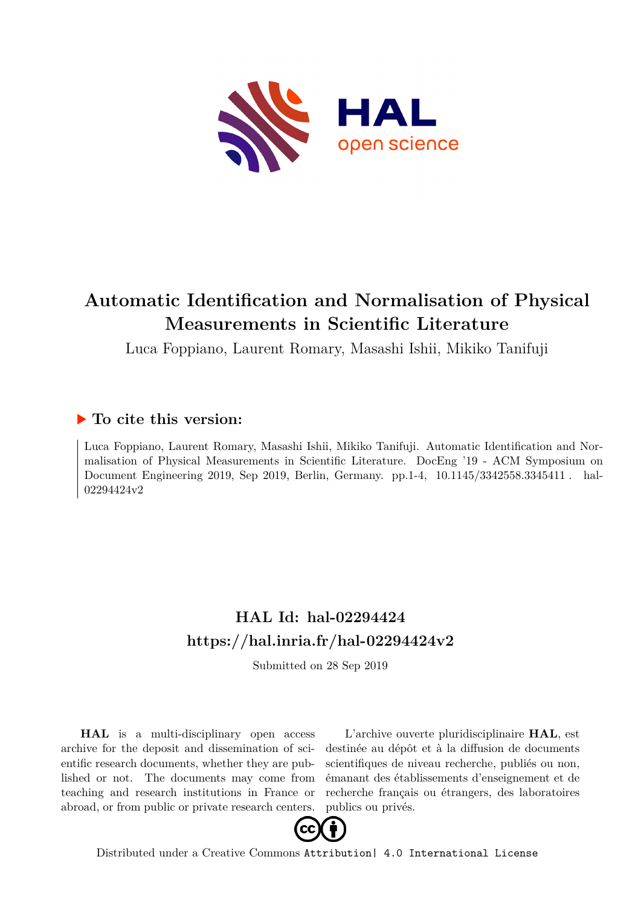

# **Automatic Identification and Normalisation of Physical Measurements in Scientific Literature**

Luca Foppiano, Laurent Romary, Masashi Ishii, Mikiko Tanifuji

# **To cite this version:**

Luca Foppiano, Laurent Romary, Masashi Ishii, Mikiko Tanifuji. Automatic Identification and Normalisation of Physical Measurements in Scientific Literature. DocEng '19 - ACM Symposium on Document Engineering 2019, Sep 2019, Berlin, Germany. pp.1-4, 10.1145/3342558.3345411. hal-02294424v2

# **HAL Id: hal-02294424 <https://hal.inria.fr/hal-02294424v2>**

Submitted on 28 Sep 2019

**HAL** is a multi-disciplinary open access archive for the deposit and dissemination of scientific research documents, whether they are published or not. The documents may come from teaching and research institutions in France or abroad, or from public or private research centers.

L'archive ouverte pluridisciplinaire **HAL**, est destinée au dépôt et à la diffusion de documents scientifiques de niveau recherche, publiés ou non, émanant des établissements d'enseignement et de recherche français ou étrangers, des laboratoires publics ou privés.



Distributed under a Creative Commons [Attribution| 4.0 International License](http://creativecommons.org/licenses/by/4.0/)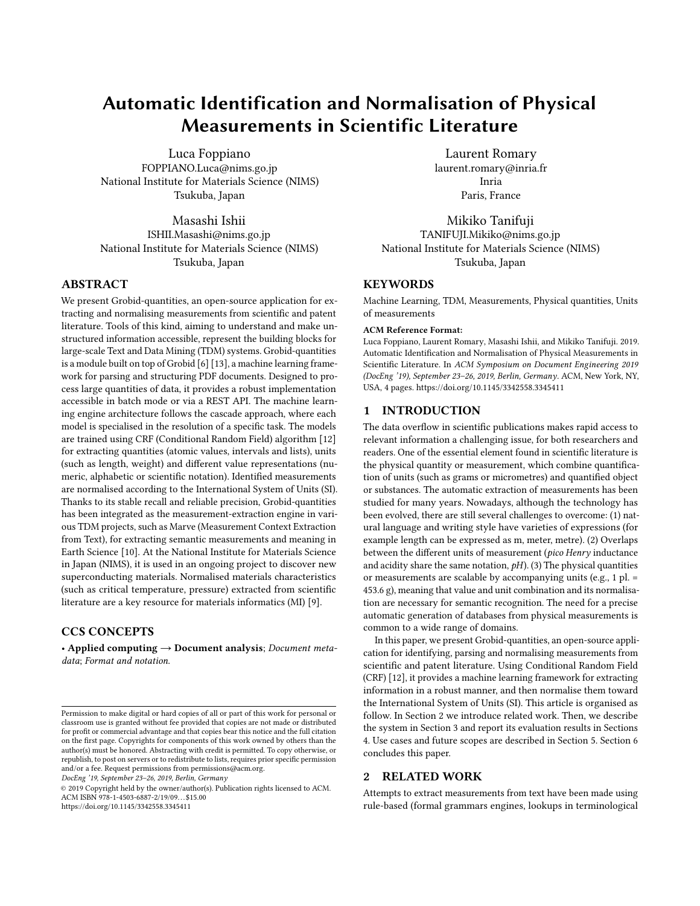# Automatic Identification and Normalisation of Physical Measurements in Scientific Literature

Luca Foppiano FOPPIANO.Luca@nims.go.jp National Institute for Materials Science (NIMS) Tsukuba, Japan

Masashi Ishii ISHII.Masashi@nims.go.jp National Institute for Materials Science (NIMS) Tsukuba, Japan

# ABSTRACT

We present Grobid-quantities, an open-source application for extracting and normalising measurements from scientific and patent literature. Tools of this kind, aiming to understand and make unstructured information accessible, represent the building blocks for large-scale Text and Data Mining (TDM) systems. Grobid-quantities is a module built on top of Grobid [6] [13], a machine learning framework for parsing and structuring PDF documents. Designed to process large quantities of data, it provides a robust implementation accessible in batch mode or via a REST API. The machine learning engine architecture follows the cascade approach, where each model is specialised in the resolution of a specific task. The models are trained using CRF (Conditional Random Field) algorithm [12] for extracting quantities (atomic values, intervals and lists), units (such as length, weight) and different value representations (numeric, alphabetic or scientific notation). Identified measurements are normalised according to the International System of Units (SI). Thanks to its stable recall and reliable precision, Grobid-quantities has been integrated as the measurement-extraction engine in various TDM projects, such as Marve (Measurement Context Extraction from Text), for extracting semantic measurements and meaning in Earth Science [10]. At the National Institute for Materials Science in Japan (NIMS), it is used in an ongoing project to discover new superconducting materials. Normalised materials characteristics (such as critical temperature, pressure) extracted from scientific literature are a key resource for materials informatics (MI) [9].

# CCS CONCEPTS

• Applied computing → Document analysis; Document metadata; Format and notation.

DocEng '19, September 23–26, 2019, Berlin, Germany

© 2019 Copyright held by the owner/author(s). Publication rights licensed to ACM. ACM ISBN 978-1-4503-6887-2/19/09. . . \$15.00 <https://doi.org/10.1145/3342558.3345411>

Laurent Romary laurent.romary@inria.fr Inria Paris, France

Mikiko Tanifuji TANIFUJI.Mikiko@nims.go.jp National Institute for Materials Science (NIMS) Tsukuba, Japan

# **KEYWORDS**

Machine Learning, TDM, Measurements, Physical quantities, Units of measurements

#### ACM Reference Format:

Luca Foppiano, Laurent Romary, Masashi Ishii, and Mikiko Tanifuji. 2019. Automatic Identification and Normalisation of Physical Measurements in Scientific Literature. In ACM Symposium on Document Engineering 2019 (DocEng '19), September 23–26, 2019, Berlin, Germany. ACM, New York, NY, USA, 4 pages.<https://doi.org/10.1145/3342558.3345411>

#### 1 INTRODUCTION

The data overflow in scientific publications makes rapid access to relevant information a challenging issue, for both researchers and readers. One of the essential element found in scientific literature is the physical quantity or measurement, which combine quantification of units (such as grams or micrometres) and quantified object or substances. The automatic extraction of measurements has been studied for many years. Nowadays, although the technology has been evolved, there are still several challenges to overcome: (1) natural language and writing style have varieties of expressions (for example length can be expressed as m, meter, metre). (2) Overlaps between the different units of measurement (pico Henry inductance and acidity share the same notation,  $pH$ ). (3) The physical quantities or measurements are scalable by accompanying units (e.g., 1 pl. = 453.6 g), meaning that value and unit combination and its normalisation are necessary for semantic recognition. The need for a precise automatic generation of databases from physical measurements is common to a wide range of domains.

In this paper, we present Grobid-quantities, an open-source application for identifying, parsing and normalising measurements from scientific and patent literature. Using Conditional Random Field (CRF) [12], it provides a machine learning framework for extracting information in a robust manner, and then normalise them toward the International System of Units (SI). This article is organised as follow. In Section 2 we introduce related work. Then, we describe the system in Section 3 and report its evaluation results in Sections 4. Use cases and future scopes are described in Section 5. Section 6 concludes this paper.

### 2 RELATED WORK

Attempts to extract measurements from text have been made using rule-based (formal grammars engines, lookups in terminological

Permission to make digital or hard copies of all or part of this work for personal or classroom use is granted without fee provided that copies are not made or distributed for profit or commercial advantage and that copies bear this notice and the full citation on the first page. Copyrights for components of this work owned by others than the author(s) must be honored. Abstracting with credit is permitted. To copy otherwise, or republish, to post on servers or to redistribute to lists, requires prior specific permission and/or a fee. Request permissions from permissions@acm.org.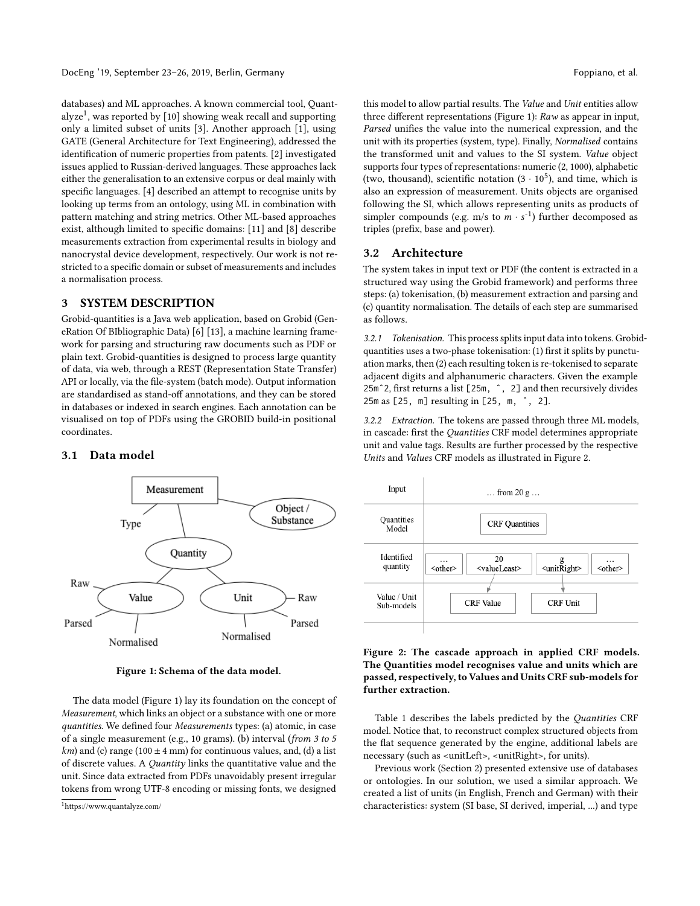databases) and ML approaches. A known commercial tool, Quantalyze<sup>1</sup>, was reported by [10] showing weak recall and supporting only a limited subset of units [3]. Another approach [1], using GATE (General Architecture for Text Engineering), addressed the identification of numeric properties from patents. [2] investigated issues applied to Russian-derived languages. These approaches lack either the generalisation to an extensive corpus or deal mainly with specific languages. [4] described an attempt to recognise units by looking up terms from an ontology, using ML in combination with pattern matching and string metrics. Other ML-based approaches exist, although limited to specific domains: [11] and [8] describe measurements extraction from experimental results in biology and nanocrystal device development, respectively. Our work is not restricted to a specific domain or subset of measurements and includes a normalisation process.

# 3 SYSTEM DESCRIPTION

Grobid-quantities is a Java web application, based on Grobid (GeneRation Of BIbliographic Data) [6] [13], a machine learning framework for parsing and structuring raw documents such as PDF or plain text. Grobid-quantities is designed to process large quantity of data, via web, through a REST (Representation State Transfer) API or locally, via the file-system (batch mode). Output information are standardised as stand-off annotations, and they can be stored in databases or indexed in search engines. Each annotation can be visualised on top of PDFs using the GROBID build-in positional coordinates.

### 3.1 Data model



Figure 1: Schema of the data model.

The data model (Figure 1) lay its foundation on the concept of Measurement, which links an object or a substance with one or more quantities. We defined four Measurements types: (a) atomic, in case of a single measurement (e.g., 10 grams). (b) interval (from 3 to 5  $km$ ) and (c) range (100  $\pm$  4 mm) for continuous values, and, (d) a list of discrete values. A Quantity links the quantitative value and the unit. Since data extracted from PDFs unavoidably present irregular tokens from wrong UTF-8 encoding or missing fonts, we designed

this model to allow partial results. The Value and Unit entities allow three different representations (Figure 1): Raw as appear in input, Parsed unifies the value into the numerical expression, and the unit with its properties (system, type). Finally, Normalised contains the transformed unit and values to the SI system. Value object supports four types of representations: numeric (2, 1000), alphabetic (two, thousand), scientific notation  $(3 \cdot 10^5)$ , and time, which is also an expression of measurement. Units objects are organised following the SI, which allows representing units as products of simpler compounds (e.g. m/s to  $m \cdot s^{-1}$ ) further decomposed as<br>triples (prefix base and power) triples (prefix, base and power).

#### 3.2 Architecture

The system takes in input text or PDF (the content is extracted in a structured way using the Grobid framework) and performs three steps: (a) tokenisation, (b) measurement extraction and parsing and (c) quantity normalisation. The details of each step are summarised as follows.

3.2.1 Tokenisation. This process splits input data into tokens. Grobidquantities uses a two-phase tokenisation: (1) first it splits by punctuation marks, then (2) each resulting token is re-tokenised to separate adjacent digits and alphanumeric characters. Given the example 25mˆ2, first returns a list [25m, ˆ, 2] and then recursively divides 25m as [25, m] resulting in [25, m, ˆ, 2].

3.2.2 Extraction. The tokens are passed through three ML models, in cascade: first the Quantities CRF model determines appropriate unit and value tags. Results are further processed by the respective Units and Values CRF models as illustrated in Figure 2.



#### Figure 2: The cascade approach in applied CRF models. The Quantities model recognises value and units which are passed, respectively, to Values and Units CRF sub-models for further extraction.

Table 1 describes the labels predicted by the Quantities CRF model. Notice that, to reconstruct complex structured objects from the flat sequence generated by the engine, additional labels are necessary (such as <unitLeft>, <unitRight>, for units).

Previous work (Section 2) presented extensive use of databases or ontologies. In our solution, we used a similar approach. We created a list of units (in English, French and German) with their characteristics: system (SI base, SI derived, imperial, ...) and type

<sup>1</sup>https://www.quantalyze.com/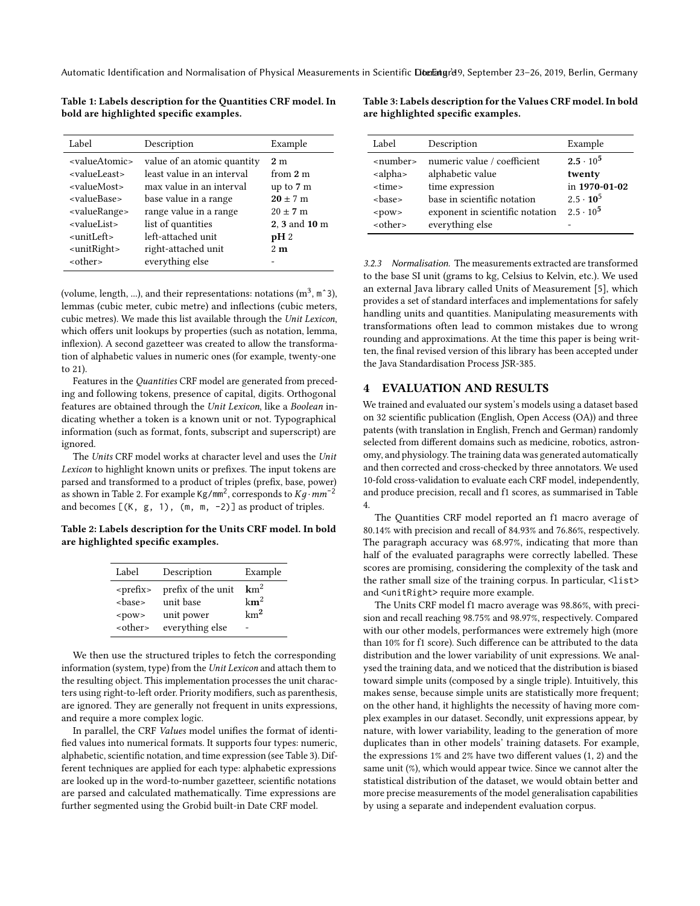Automatic Identification and Normalisation of Physical Measurements in Scientific Diteratured of September 23-26, 2019, Berlin, Germany

Table 1: Labels description for the Quantities CRF model. In bold are highlighted specific examples.

| Label                                                                                                                                                                       | Description                                                                                                                                                    | Example                                                                                          |
|-----------------------------------------------------------------------------------------------------------------------------------------------------------------------------|----------------------------------------------------------------------------------------------------------------------------------------------------------------|--------------------------------------------------------------------------------------------------|
| <valueatomic><br/><valueleast><br/><valuemost><br/><valuebase><br/><valuerange><br/><valuelist></valuelist></valuerange></valuebase></valuemost></valueleast></valueatomic> | value of an atomic quantity<br>least value in an interval<br>max value in an interval<br>base value in a range<br>range value in a range<br>list of quantities | 2 <sub>m</sub><br>from 2 m<br>up to 7 m<br>$20 \pm 7 \text{ m}$<br>$20 \pm 7$ m<br>2, 3 and 10 m |
| <unitleft></unitleft>                                                                                                                                                       | left-attached unit                                                                                                                                             | $pH_2$                                                                                           |
| <unitright></unitright>                                                                                                                                                     | right-attached unit                                                                                                                                            | 2m                                                                                               |
| <other></other>                                                                                                                                                             | everything else                                                                                                                                                |                                                                                                  |

(volume, length, ...), and their representations: notations  $(m^3, m^2)$ ), lemmas (cubic meter, cubic metre) and inflections (cubic meters, cubic metres). We made this list available through the Unit Lexicon, which offers unit lookups by properties (such as notation, lemma, inflexion). A second gazetteer was created to allow the transformation of alphabetic values in numeric ones (for example, twenty-one to 21).

Features in the Quantities CRF model are generated from preceding and following tokens, presence of capital, digits. Orthogonal features are obtained through the Unit Lexicon, like a Boolean indicating whether a token is a known unit or not. Typographical information (such as format, fonts, subscript and superscript) are ignored.

The Units CRF model works at character level and uses the Unit Lexicon to highlight known units or prefixes. The input tokens are parsed and transformed to a product of triples (prefix, base, power) as shown in Table 2. For example  $\frac{Kg}{m}$ , corresponds to  $\frac{Kg}{m}$ <sup>-2</sup> and becomes  $[(K, g, 1), (m, m, -2)]$  as product of triples.

Table 2: Labels description for the Units CRF model. In bold are highlighted specific examples.

| Label          | Description        | Example         |
|----------------|--------------------|-----------------|
| $<$ prefix $>$ | prefix of the unit | $km^2$          |
| <base/>        | unit base          | $km^2$          |
| $<$ pow $>$    | unit power         | km <sup>2</sup> |
| $<$ other $>$  | everything else    |                 |

We then use the structured triples to fetch the corresponding information (system, type) from the Unit Lexicon and attach them to the resulting object. This implementation processes the unit characters using right-to-left order. Priority modifiers, such as parenthesis, are ignored. They are generally not frequent in units expressions, and require a more complex logic.

In parallel, the CRF Values model unifies the format of identified values into numerical formats. It supports four types: numeric, alphabetic, scientific notation, and time expression (see Table 3). Different techniques are applied for each type: alphabetic expressions are looked up in the word-to-number gazetteer, scientific notations are parsed and calculated mathematically. Time expressions are further segmented using the Grobid built-in Date CRF model.

Table 3: Labels description for the Values CRF model. In bold are highlighted specific examples.

| Label                                                                                                                                  | Description                                                                                                                                             | Example                                                                             |
|----------------------------------------------------------------------------------------------------------------------------------------|---------------------------------------------------------------------------------------------------------------------------------------------------------|-------------------------------------------------------------------------------------|
| <number><br/><alpha><br/><time><br/><br/> se&gt;<br/><math>&lt;</math>pow<math>&gt;</math><br/><other></other></time></alpha></number> | numeric value / coefficient<br>alphabetic value<br>time expression<br>base in scientific notation<br>exponent in scientific notation<br>everything else | $2.5 \cdot 10^5$<br>twenty<br>in 1970-01-02<br>$2.5 \cdot 10^5$<br>$2.5 \cdot 10^5$ |

3.2.3 Normalisation. The measurements extracted are transformed to the base SI unit (grams to kg, Celsius to Kelvin, etc.). We used an external Java library called Units of Measurement [5], which provides a set of standard interfaces and implementations for safely handling units and quantities. Manipulating measurements with transformations often lead to common mistakes due to wrong rounding and approximations. At the time this paper is being written, the final revised version of this library has been accepted under the Java Standardisation Process JSR-385.

### 4 EVALUATION AND RESULTS

We trained and evaluated our system's models using a dataset based on 32 scientific publication (English, Open Access (OA)) and three patents (with translation in English, French and German) randomly selected from different domains such as medicine, robotics, astronomy, and physiology. The training data was generated automatically and then corrected and cross-checked by three annotators. We used 10-fold cross-validation to evaluate each CRF model, independently, and produce precision, recall and f1 scores, as summarised in Table 4.

The Quantities CRF model reported an f1 macro average of 80.14% with precision and recall of 84.93% and 76.86%, respectively. The paragraph accuracy was 68.97%, indicating that more than half of the evaluated paragraphs were correctly labelled. These scores are promising, considering the complexity of the task and the rather small size of the training corpus. In particular, <list> and <unitRight> require more example.

The Units CRF model f1 macro average was 98.86%, with precision and recall reaching 98.75% and 98.97%, respectively. Compared with our other models, performances were extremely high (more than 10% for f1 score). Such difference can be attributed to the data distribution and the lower variability of unit expressions. We analysed the training data, and we noticed that the distribution is biased toward simple units (composed by a single triple). Intuitively, this makes sense, because simple units are statistically more frequent; on the other hand, it highlights the necessity of having more complex examples in our dataset. Secondly, unit expressions appear, by nature, with lower variability, leading to the generation of more duplicates than in other models' training datasets. For example, the expressions 1% and 2% have two different values (1, 2) and the same unit (%), which would appear twice. Since we cannot alter the statistical distribution of the dataset, we would obtain better and more precise measurements of the model generalisation capabilities by using a separate and independent evaluation corpus.